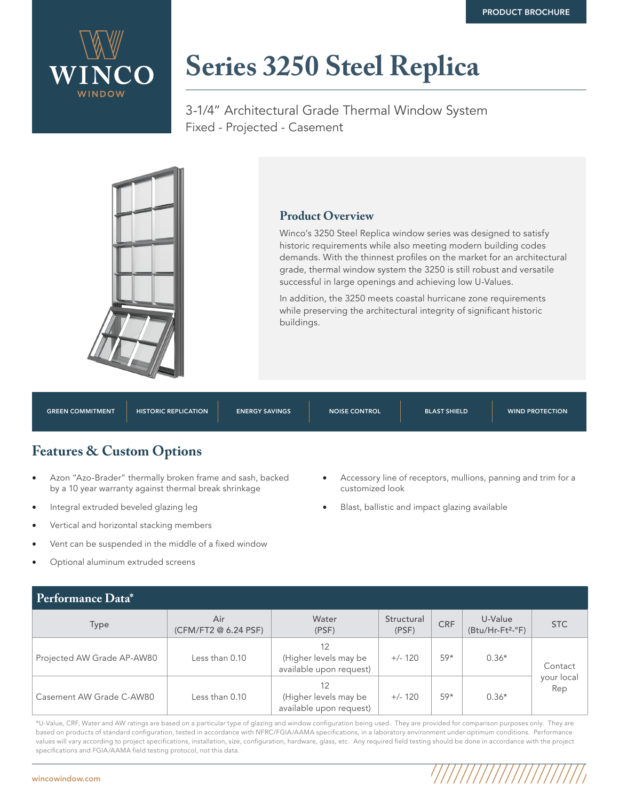

## **Series [3250 Steel Replica](https://wincowindow.com/products/historic-replica/3250-steel-replica)**

3-1/4" Architectural Grade Thermal Window System Fixed - Projected - Casement



## **Product Overview**

Winco's 3250 Steel Replica window series was designed to satisfy historic requirements while also meeting modern building codes demands. With the thinnest profiles on the market for an architectural grade, thermal window system the 3250 is still robust and versatile successful in large openings and achieving low U-Values.

• Accessory line of receptors, mullions, panning and trim for a

//////////////////

• Blast, ballistic and impact glazing available

In addition, the 3250 meets coastal hurricane zone requirements while preserving the architectural integrity of significant historic buildings.

| <b>GREEN COMMITMENT</b>              | <b>HISTORIC REPLICATION</b> | <b>ENERGY SAVINGS</b> | <b>NOISE CONTROL</b> | <b>BLAST SHIELD</b> | <b>WIND PROTECTION</b> |  |  |  |
|--------------------------------------|-----------------------------|-----------------------|----------------------|---------------------|------------------------|--|--|--|
| <b>Features &amp; Custom Options</b> |                             |                       |                      |                     |                        |  |  |  |

customized look

- Azon "Azo-Brader" thermally broken frame and sash, backed by a 10 year warranty against thermal break shrinkage
- Integral extruded beveled glazing leg
- Vertical and horizontal stacking members
- Vent can be suspended in the middle of a fixed window
- Optional aluminum extruded screens

| Pertormance Data <sup>*</sup> |                             |                                                        |                     |            |                                         |                              |  |  |  |  |
|-------------------------------|-----------------------------|--------------------------------------------------------|---------------------|------------|-----------------------------------------|------------------------------|--|--|--|--|
| <b>Type</b>                   | Air<br>(CFM/FT2 @ 6.24 PSF) | Water<br>(PSF)                                         | Structural<br>(PSF) | <b>CRF</b> | U-Value<br>(Btu/Hr-Ft <sup>2</sup> -°F) | <b>STC</b>                   |  |  |  |  |
| Projected AW Grade AP-AW80    | Less than 0.10              | (Higher levels may be<br>available upon request)       | $+/- 120$           | 59*<br>59* | $0.36*$                                 | Contact<br>your local<br>Rep |  |  |  |  |
| Casement AW Grade C-AW80      | Less than 0.10              | 12<br>(Higher levels may be<br>available upon request) | $+/- 120$           |            | $0.36*$                                 |                              |  |  |  |  |

\*U-Value, CRF, Water and AW ratings are based on a particular type of glazing and window configuration being used. They are provided for comparison purposes only. They are based on products of standard configuration, tested in accordance with NFRC/FGIA/AAMA specifications, in a laboratory environment under optimum conditions. Performance values will vary according to project specifications, installation, size, configuration, hardware, glass, etc. Any required field testing should be done in accordance with the project specifications and FGIA/AAMA field testing protocol, not this data.